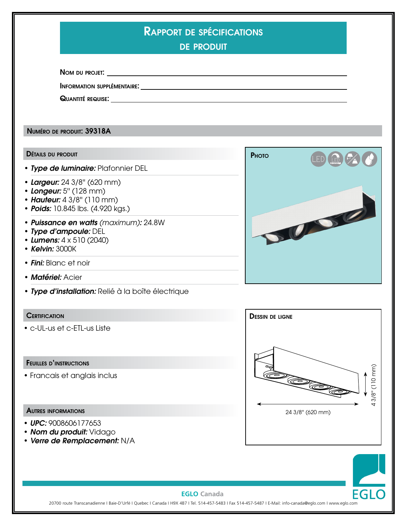| <b>RAPPORT DE SPÉCIFICATIONS</b><br><b>DE PRODUIT</b>                                                                    |                        |
|--------------------------------------------------------------------------------------------------------------------------|------------------------|
|                                                                                                                          |                        |
|                                                                                                                          |                        |
| QUANTITÉ REQUISE. <b>CONTRACTE DE LA CONTRACTE DE LA CONTRACTE DE LA CONTRACTE DE LA CONTRACTE DE LA CONTRACTE DE L</b>  |                        |
| NUMÉRO DE PRODUIT: 39318A                                                                                                |                        |
| <b>DÉTAILS DU PRODUIT</b>                                                                                                | PHOTO                  |
| • Type de luminaire: Plafonnier DEL                                                                                      |                        |
| • Largeur: 24 3/8" (620 mm)<br>• Longeur: 5" (128 mm)<br>• Hauteur: 4 3/8" (110 mm)<br>• Poids: 10.845 lbs. (4.920 kgs.) |                        |
| • Puissance en watts (maximum): 24.8W<br>· Type d'ampoule: DEL<br>• Lumens: $4 \times 510 (2040)$<br>• Kelvin: 3000K     | TUNIST                 |
| • Fini: Blanc et noir                                                                                                    |                        |
| • Matériel: Acier                                                                                                        |                        |
| · Type d'installation: Relié à la boîte électrique                                                                       |                        |
| <b>CERTIFICATION</b>                                                                                                     | <b>DESSIN DE LIGNE</b> |
| • c-UL-us et c-ETL-us Liste                                                                                              |                        |
| <b>FEUILLES D'INSTRUCTIONS</b>                                                                                           |                        |

• Francais et anglais inclus

#### Autres informations

- *UPC:* 9008606177653
- *Nom du produit:* Vidago
- *Verre de Remplacement:* N/A





## **EGLO Canada**

20700 route Transcanadienne I Baie-D'Urfé I Quebec I Canada I H9X 4B7 I Tel. 514-457-5483 I Fax 514-457-5487 I E-Mail: info-canada@eglo.com I www.eglo.com